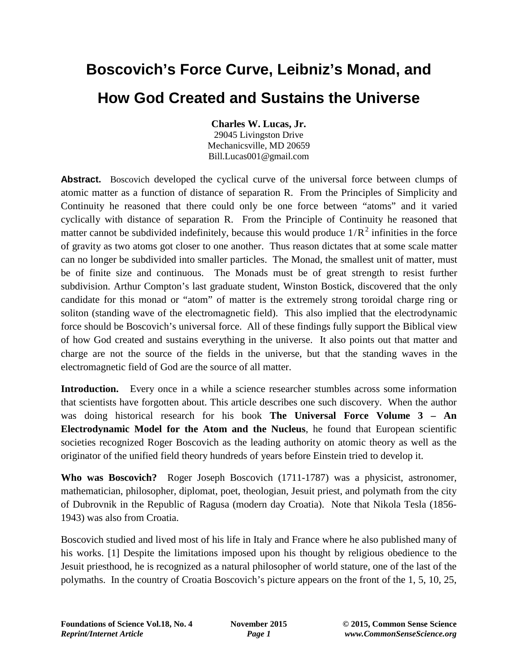## **Boscovich's Force Curve, Leibniz's Monad, and How God Created and Sustains the Universe**

**Charles W. Lucas, Jr.**

29045 Livingston Drive Mechanicsville, MD 20659 Bill.Lucas001@gmail.com

**Abstract.** Boscovich developed the cyclical curve of the universal force between clumps of atomic matter as a function of distance of separation R. From the Principles of Simplicity and Continuity he reasoned that there could only be one force between "atoms" and it varied cyclically with distance of separation R. From the Principle of Continuity he reasoned that matter cannot be subdivided indefinitely, because this would produce  $1/R^2$  infinities in the force of gravity as two atoms got closer to one another. Thus reason dictates that at some scale matter can no longer be subdivided into smaller particles. The Monad, the smallest unit of matter, must be of finite size and continuous. The Monads must be of great strength to resist further subdivision. Arthur Compton's last graduate student, Winston Bostick, discovered that the only candidate for this monad or "atom" of matter is the extremely strong toroidal charge ring or soliton (standing wave of the electromagnetic field). This also implied that the electrodynamic force should be Boscovich's universal force. All of these findings fully support the Biblical view of how God created and sustains everything in the universe. It also points out that matter and charge are not the source of the fields in the universe, but that the standing waves in the electromagnetic field of God are the source of all matter.

**Introduction.** Every once in a while a science researcher stumbles across some information that scientists have forgotten about. This article describes one such discovery. When the author was doing historical research for his book **The Universal Force Volume 3 – An Electrodynamic Model for the Atom and the Nucleus**, he found that European scientific societies recognized Roger Boscovich as the leading authority on atomic theory as well as the originator of the unified field theory hundreds of years before Einstein tried to develop it.

**Who was Boscovich?** Roger Joseph Boscovich (1711-1787) was a physicist, astronomer, mathematician, philosopher, diplomat, poet, theologian, Jesuit priest, and polymath from the city of Dubrovnik in the Republic of Ragusa (modern day Croatia). Note that Nikola Tesla (1856- 1943) was also from Croatia.

Boscovich studied and lived most of his life in Italy and France where he also published many of his works. [1] Despite the limitations imposed upon his thought by religious obedience to the Jesuit priesthood, he is recognized as a natural philosopher of world stature, one of the last of the polymaths. In the country of Croatia Boscovich's picture appears on the front of the 1, 5, 10, 25,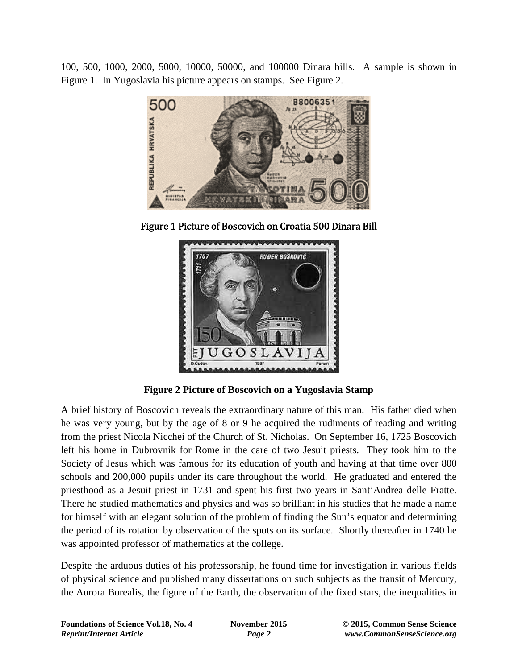100, 500, 1000, 2000, 5000, 10000, 50000, and 100000 Dinara bills. A sample is shown in Figure 1. In Yugoslavia his picture appears on stamps. See Figure 2.



Figure 1 Picture of Boscovich on Croatia 500 Dinara Bill



**Figure 2 Picture of Boscovich on a Yugoslavia Stamp**

A brief history of Boscovich reveals the extraordinary nature of this man. His father died when he was very young, but by the age of 8 or 9 he acquired the rudiments of reading and writing from the priest Nicola Nicchei of the Church of St. Nicholas. On September 16, 1725 Boscovich left his home in Dubrovnik for Rome in the care of two Jesuit priests. They took him to the Society of Jesus which was famous for its education of youth and having at that time over 800 schools and 200,000 pupils under its care throughout the world. He graduated and entered the priesthood as a Jesuit priest in 1731 and spent his first two years in Sant'Andrea delle Fratte. There he studied mathematics and physics and was so brilliant in his studies that he made a name for himself with an elegant solution of the problem of finding the Sun's equator and determining the period of its rotation by observation of the spots on its surface. Shortly thereafter in 1740 he was appointed professor of mathematics at the college.

Despite the arduous duties of his professorship, he found time for investigation in various fields of physical science and published many dissertations on such subjects as the transit of Mercury, the Aurora Borealis, the figure of the Earth, the observation of the fixed stars, the inequalities in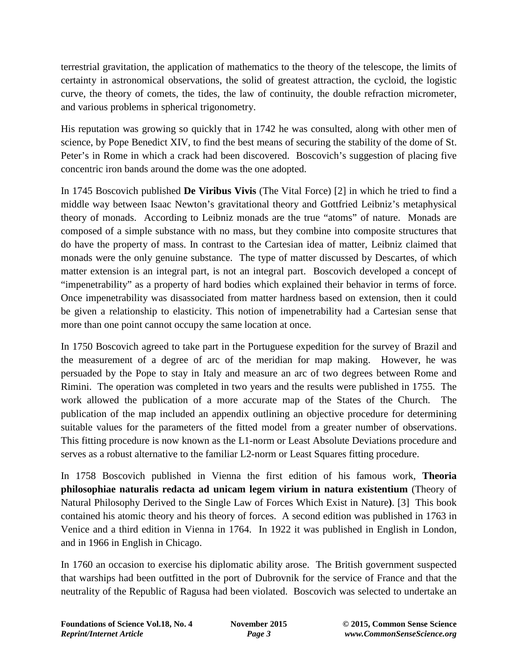terrestrial gravitation, the application of mathematics to the theory of the telescope, the limits of certainty in astronomical observations, the solid of greatest attraction, the cycloid, the logistic curve, the theory of comets, the tides, the law of continuity, the double refraction micrometer, and various problems in spherical trigonometry.

His reputation was growing so quickly that in 1742 he was consulted, along with other men of science, by Pope Benedict XIV, to find the best means of securing the stability of the dome of St. Peter's in Rome in which a crack had been discovered. Boscovich's suggestion of placing five concentric iron bands around the dome was the one adopted.

In 1745 Boscovich published **De Viribus Vivis** (The Vital Force) [2] in which he tried to find a middle way between Isaac Newton's gravitational theory and Gottfried Leibniz's metaphysical theory of monads. According to Leibniz monads are the true "atoms" of nature. Monads are composed of a simple substance with no mass, but they combine into composite structures that do have the property of mass. In contrast to the Cartesian idea of matter, Leibniz claimed that monads were the only genuine substance. The type of matter discussed by Descartes, of which matter extension is an integral part, is not an integral part. Boscovich developed a concept of "impenetrability" as a property of hard bodies which explained their behavior in terms of force. Once impenetrability was disassociated from matter hardness based on extension, then it could be given a relationship to elasticity. This notion of impenetrability had a Cartesian sense that more than one point cannot occupy the same location at once.

In 1750 Boscovich agreed to take part in the Portuguese expedition for the survey of Brazil and the measurement of a degree of arc of the meridian for map making. However, he was persuaded by the Pope to stay in Italy and measure an arc of two degrees between Rome and Rimini. The operation was completed in two years and the results were published in 1755. The work allowed the publication of a more accurate map of the States of the Church. The publication of the map included an appendix outlining an objective procedure for determining suitable values for the parameters of the fitted model from a greater number of observations. This fitting procedure is now known as the L1-norm or Least Absolute Deviations procedure and serves as a robust alternative to the familiar L2-norm or Least Squares fitting procedure.

In 1758 Boscovich published in Vienna the first edition of his famous work, **Theoria philosophiae naturalis redacta ad unicam legem virium in natura existentium** (Theory of Natural Philosophy Derived to the Single Law of Forces Which Exist in Nature**)**. [3] This book contained his atomic theory and his theory of forces. A second edition was published in 1763 in Venice and a third edition in Vienna in 1764. In 1922 it was published in English in London, and in 1966 in English in Chicago.

In 1760 an occasion to exercise his diplomatic ability arose. The British government suspected that warships had been outfitted in the port of Dubrovnik for the service of France and that the neutrality of the Republic of Ragusa had been violated. Boscovich was selected to undertake an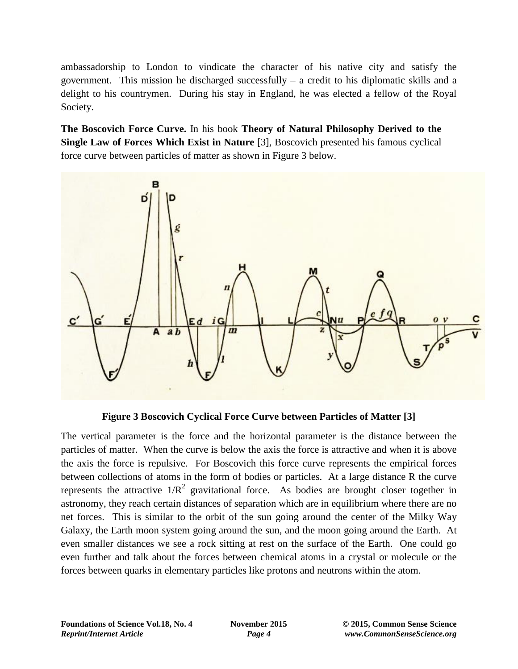ambassadorship to London to vindicate the character of his native city and satisfy the government. This mission he discharged successfully  $-$  a credit to his diplomatic skills and a delight to his countrymen. During his stay in England, he was elected a fellow of the Royal Society.

**The Boscovich Force Curve.** In his book **Theory of Natural Philosophy Derived to the Single Law of Forces Which Exist in Nature** [3], Boscovich presented his famous cyclical force curve between particles of matter as shown in Figure 3 below.



**Figure 3 Boscovich Cyclical Force Curve between Particles of Matter [3]**

The vertical parameter is the force and the horizontal parameter is the distance between the particles of matter. When the curve is below the axis the force is attractive and when it is above the axis the force is repulsive. For Boscovich this force curve represents the empirical forces between collections of atoms in the form of bodies or particles. At a large distance R the curve represents the attractive  $1/R^2$  gravitational force. As bodies are brought closer together in astronomy, they reach certain distances of separation which are in equilibrium where there are no net forces. This is similar to the orbit of the sun going around the center of the Milky Way Galaxy, the Earth moon system going around the sun, and the moon going around the Earth. At even smaller distances we see a rock sitting at rest on the surface of the Earth. One could go even further and talk about the forces between chemical atoms in a crystal or molecule or the forces between quarks in elementary particles like protons and neutrons within the atom.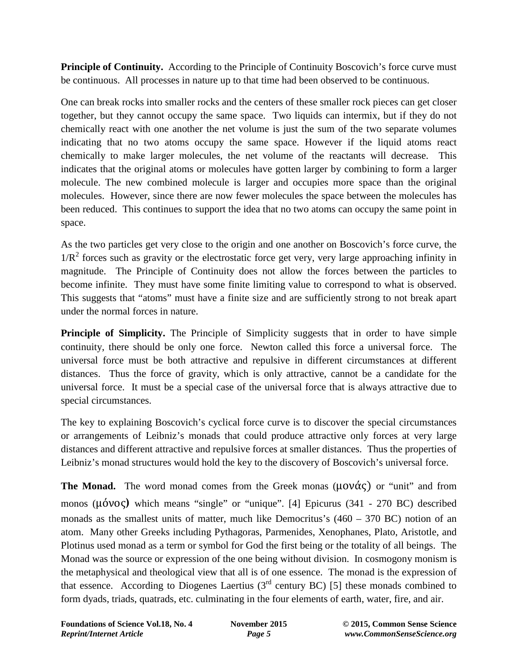**Principle of Continuity.** According to the Principle of Continuity Boscovich's force curve must be continuous. All processes in nature up to that time had been observed to be continuous.

One can break rocks into smaller rocks and the centers of these smaller rock pieces can get closer together, but they cannot occupy the same space. Two liquids can intermix, but if they do not chemically react with one another the net volume is just the sum of the two separate volumes indicating that no two atoms occupy the same space. However if the liquid atoms react chemically to make larger molecules, the net volume of the reactants will decrease. This indicates that the original atoms or molecules have gotten larger by combining to form a larger molecule. The new combined molecule is larger and occupies more space than the original molecules. However, since there are now fewer molecules the space between the molecules has been reduced. This continues to support the idea that no two atoms can occupy the same point in space.

As the two particles get very close to the origin and one another on Boscovich's force curve, the  $1/R<sup>2</sup>$  forces such as gravity or the electrostatic force get very, very large approaching infinity in magnitude. The Principle of Continuity does not allow the forces between the particles to become infinite. They must have some finite limiting value to correspond to what is observed. This suggests that "atoms" must have a finite size and are sufficiently strong to not break apart under the normal forces in nature.

**Principle of Simplicity.** The Principle of Simplicity suggests that in order to have simple continuity, there should be only one force. Newton called this force a universal force. The universal force must be both attractive and repulsive in different circumstances at different distances. Thus the force of gravity, which is only attractive, cannot be a candidate for the universal force. It must be a special case of the universal force that is always attractive due to special circumstances.

The key to explaining Boscovich's cyclical force curve is to discover the special circumstances or arrangements of Leibniz's monads that could produce attractive only forces at very large distances and different attractive and repulsive forces at smaller distances. Thus the properties of Leibniz's monad structures would hold the key to the discovery of Boscovich's universal force.

**The Monad.** The word monad comes from the Greek monas  $(\mu \circ \nu \circ \alpha \circ \nu)$  or "unit" and from monos (μόνος**)** which means "single" or "unique". [4] Epicurus (341 - 270 BC) described monads as the smallest units of matter, much like Democritus's  $(460 - 370 \text{ BC})$  notion of an atom. Many other Greeks including Pythagoras, Parmenides, Xenophanes, Plato, Aristotle, and Plotinus used monad as a term or symbol for God the first being or the totality of all beings. The Monad was the source or expression of the one being without division. In cosmogony monism is the metaphysical and theological view that all is of one essence. The monad is the expression of that essence. According to Diogenes Laertius  $3<sup>rd</sup>$  century BC) [5] these monads combined to form dyads, triads, quatrads, etc. culminating in the four elements of earth, water, fire, and air.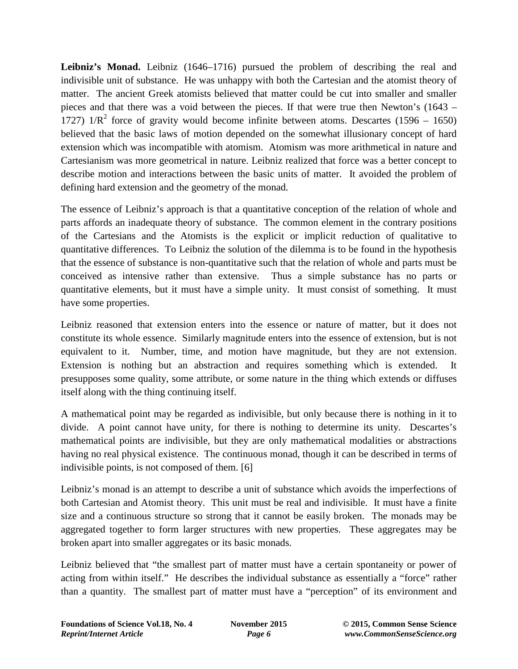Leibniz's Monad. Leibniz (1646–1716) pursued the problem of describing the real and indivisible unit of substance. He was unhappy with both the Cartesian and the atomist theory of matter. The ancient Greek atomists believed that matter could be cut into smaller and smaller pieces and that there was a void between the pieces. If that were true then Newton's (1643 – 1727)  $1/R^2$  force of gravity would become infinite between atoms. Descartes (1596 – 1650) believed that the basic laws of motion depended on the somewhat illusionary concept of hard extension which was incompatible with atomism. Atomism was more arithmetical in nature and Cartesianism was more geometrical in nature. Leibniz realized that force was a better concept to describe motion and interactions between the basic units of matter. It avoided the problem of defining hard extension and the geometry of the monad.

The essence of Leibniz's approach is that a quantitative conception of the relation of whole and parts affords an inadequate theory of substance. The common element in the contrary positions of the Cartesians and the Atomists is the explicit or implicit reduction of qualitative to quantitative differences. To Leibniz the solution of the dilemma is to be found in the hypothesis that the essence of substance is non-quantitative such that the relation of whole and parts must be conceived as intensive rather than extensive. Thus a simple substance has no parts or quantitative elements, but it must have a simple unity. It must consist of something. It must have some properties.

Leibniz reasoned that extension enters into the essence or nature of matter, but it does not constitute its whole essence. Similarly magnitude enters into the essence of extension, but is not equivalent to it. Number, time, and motion have magnitude, but they are not extension. Extension is nothing but an abstraction and requires something which is extended. It presupposes some quality, some attribute, or some nature in the thing which extends or diffuses itself along with the thing continuing itself.

A mathematical point may be regarded as indivisible, but only because there is nothing in it to divide. A point cannot have unity, for there is nothing to determine its unity. Descartes's mathematical points are indivisible, but they are only mathematical modalities or abstractions having no real physical existence. The continuous monad, though it can be described in terms of indivisible points, is not composed of them. [6]

Leibniz's monad is an attempt to describe a unit of substance which avoids the imperfections of both Cartesian and Atomist theory. This unit must be real and indivisible. It must have a finite size and a continuous structure so strong that it cannot be easily broken. The monads may be aggregated together to form larger structures with new properties. These aggregates may be broken apart into smaller aggregates or its basic monads.

Leibniz believed that "the smallest part of matter must have a certain spontaneity or power of acting from within itself." He describes the individual substance as essentially a "force" rather than a quantity. The smallest part of matter must have a "perception" of its environment and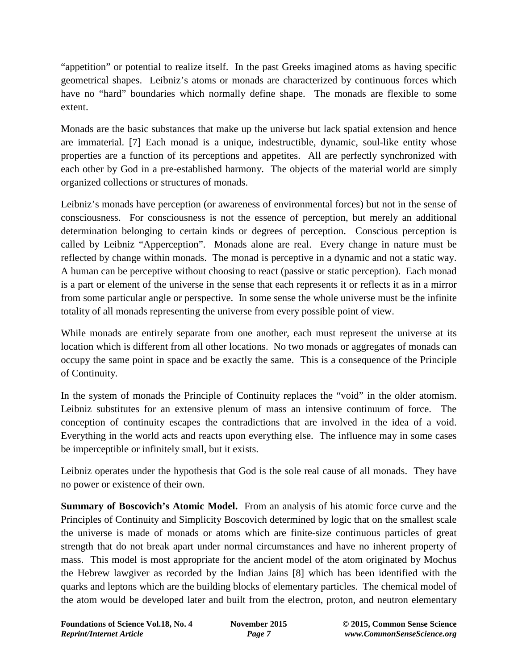"appetition" or potential to realize itself. In the past Greeks imagined atoms as having specific geometrical shapes. Leibniz's atoms or monads are characterized by continuous forces which have no "hard" boundaries which normally define shape. The monads are flexible to some extent.

Monads are the basic substances that make up the universe but lack spatial extension and hence are immaterial. [7] Each monad is a unique, indestructible, dynamic, soul-like entity whose properties are a function of its perceptions and appetites. All are perfectly synchronized with each other by God in a pre-established harmony. The objects of the material world are simply organized collections or structures of monads.

Leibniz's monads have perception (or awareness of environmental forces) but not in the sense of consciousness. For consciousness is not the essence of perception, but merely an additional determination belonging to certain kinds or degrees of perception. Conscious perception is called by Leibniz "Apperception". Monads alone are real. Every change in nature must be reflected by change within monads. The monad is perceptive in a dynamic and not a static way. A human can be perceptive without choosing to react (passive or static perception). Each monad is a part or element of the universe in the sense that each represents it or reflects it as in a mirror from some particular angle or perspective. In some sense the whole universe must be the infinite totality of all monads representing the universe from every possible point of view.

While monads are entirely separate from one another, each must represent the universe at its location which is different from all other locations. No two monads or aggregates of monads can occupy the same point in space and be exactly the same. This is a consequence of the Principle of Continuity.

In the system of monads the Principle of Continuity replaces the "void" in the older atomism. Leibniz substitutes for an extensive plenum of mass an intensive continuum of force. The conception of continuity escapes the contradictions that are involved in the idea of a void. Everything in the world acts and reacts upon everything else. The influence may in some cases be imperceptible or infinitely small, but it exists.

Leibniz operates under the hypothesis that God is the sole real cause of all monads. They have no power or existence of their own.

**Summary of Boscovich's Atomic Model.** From an analysis of his atomic force curve and the Principles of Continuity and Simplicity Boscovich determined by logic that on the smallest scale the universe is made of monads or atoms which are finite-size continuous particles of great strength that do not break apart under normal circumstances and have no inherent property of mass. This model is most appropriate for the ancient model of the atom originated by Mochus the Hebrew lawgiver as recorded by the Indian Jains [8] which has been identified with the quarks and leptons which are the building blocks of elementary particles. The chemical model of the atom would be developed later and built from the electron, proton, and neutron elementary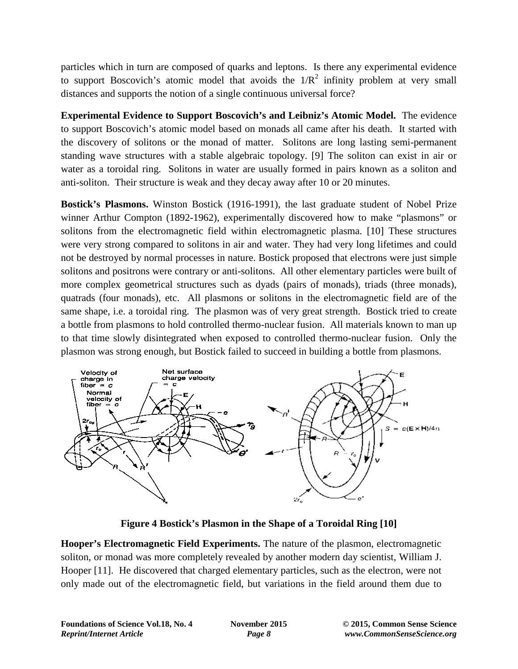particles which in turn are composed of quarks and leptons. Is there any experimental evidence to support Boscovich's atomic model that avoids the  $1/R^2$  infinity problem at very small distances and supports the notion of a single continuous universal force?

**Experimental Evidence to Support Boscovich's and Leibniz's Atomic Model.** The evidence to support Boscovich's atomic model based on monads all came after his death. It started with the discovery of solitons or the monad of matter. Solitons are long lasting semi-permanent standing wave structures with a stable algebraic topology. [9] The soliton can exist in air or water as a toroidal ring. Solitons in water are usually formed in pairs known as a soliton and anti-soliton. Their structure is weak and they decay away after 10 or 20 minutes.

**Bostick's Plasmons.** Winston Bostick (1916-1991), the last graduate student of Nobel Prize winner Arthur Compton (1892-1962), experimentally discovered how to make "plasmons" or solitons from the electromagnetic field within electromagnetic plasma. [10] These structures were very strong compared to solitons in air and water. They had very long lifetimes and could not be destroyed by normal processes in nature. Bostick proposed that electrons were just simple solitons and positrons were contrary or anti-solitons. All other elementary particles were built of more complex geometrical structures such as dyads (pairs of monads), triads (three monads), quatrads (four monads), etc. All plasmons or solitons in the electromagnetic field are of the same shape, i.e. a toroidal ring. The plasmon was of very great strength. Bostick tried to create a bottle from plasmons to hold controlled thermo-nuclear fusion. All materials known to man up to that time slowly disintegrated when exposed to controlled thermo-nuclear fusion. Only the plasmon was strong enough, but Bostick failed to succeed in building a bottle from plasmons.



**Figure 4 Bostick's Plasmon in the Shape of a Toroidal Ring [10]**

**Hooper's Electromagnetic Field Experiments.** The nature of the plasmon, electromagnetic soliton, or monad was more completely revealed by another modern day scientist, William J. Hooper [11]. He discovered that charged elementary particles, such as the electron, were not only made out of the electromagnetic field, but variations in the field around them due to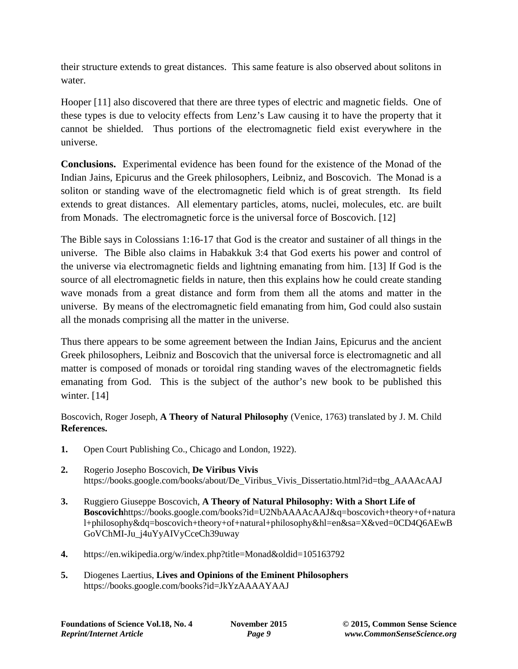their structure extends to great distances. This same feature is also observed about solitons in water.

Hooper [11] also discovered that there are three types of electric and magnetic fields. One of these types is due to velocity effects from Lenz's Law causing it to have the property that it cannot be shielded. Thus portions of the electromagnetic field exist everywhere in the universe.

**Conclusions.** Experimental evidence has been found for the existence of the Monad of the Indian Jains, Epicurus and the Greek philosophers, Leibniz, and Boscovich. The Monad is a soliton or standing wave of the electromagnetic field which is of great strength. Its field extends to great distances. All elementary particles, atoms, nuclei, molecules, etc. are built from Monads. The electromagnetic force is the universal force of Boscovich. [12]

The Bible says in Colossians 1:16-17 that God is the creator and sustainer of all things in the universe. The Bible also claims in Habakkuk 3:4 that God exerts his power and control of the universe via electromagnetic fields and lightning emanating from him. [13] If God is the source of all electromagnetic fields in nature, then this explains how he could create standing wave monads from a great distance and form from them all the atoms and matter in the universe. By means of the electromagnetic field emanating from him, God could also sustain all the monads comprising all the matter in the universe.

Thus there appears to be some agreement between the Indian Jains, Epicurus and the ancient Greek philosophers, Leibniz and Boscovich that the universal force is electromagnetic and all matter is composed of monads or toroidal ring standing waves of the electromagnetic fields emanating from God. This is the subject of the author's new book to be published this winter. [14]

Boscovich, Roger Joseph, **A Theory of Natural Philosophy** (Venice, 1763) translated by J. M. Child **References.**

- **1.** Open Court Publishing Co., Chicago and London, 1922).
- **2.** Rogerio Josepho Boscovich, **De Viribus Vivis** https://books.google.com/books/about/De\_Viribus\_Vivis\_Dissertatio.html?id=tbg\_AAAAcAAJ
- **3.** Ruggiero Giuseppe Boscovich, **A Theory of Natural Philosophy: With a Short Life of Boscovich**https://books.google.com/books?id=U2NbAAAAcAAJ&q=boscovich+theory+of+natura l+philosophy&dq=boscovich+theory+of+natural+philosophy&hl=en&sa=X&ved=0CD4Q6AEwB GoVChMI-Ju\_j4uYyAIVyCceCh39uway
- **4.** https://en.wikipedia.org/w/index.php?title=Monad&oldid=105163792
- **5.** Diogenes Laertius, **Lives and Opinions of the Eminent Philosophers** https://books.google.com/books?id=JkYzAAAAYAAJ